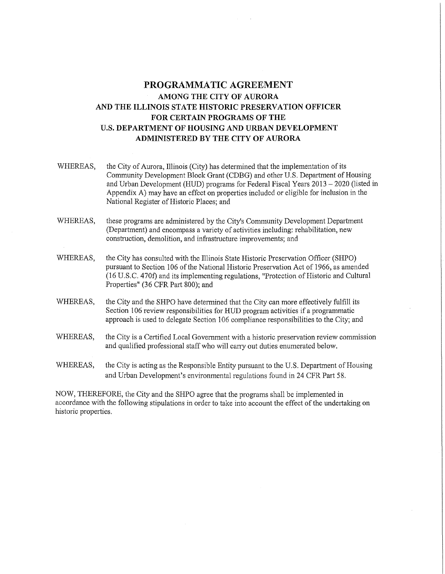## **PROGRAMMATIC AGREEMENT AMONG THE CITY OF AURORA AND THE ILLINOIS STATE HISTORIC PRESERVATION OFFICER FOR CERTAIN PROGRAMS OF THE U.S. DEPARTMENT OF HOUSING AND URBAN DEVELOPMENT ADMINISTERED BY THE CITY OF AURORA**

- WHEREAS, the City of Aurora, Illinois (City) has determined that the implementation of its Community Development Block Grant (CDBG) and other U.S. Department of Housing and Urban Development (HUD) programs for Federal Fiscal Years 2013 - 2020 (listed in Appendix A) may have an effect on properties included or eligible for inclusion in the National Register of Historic Places; and
- WHEREAS, these programs are administered by the City's Community Development Department (Department) and encompass a variety of activities including: rehabilitation, new construction, demolition, and infrastructure improvements; and
- WHEREAS, the City has consulted with the Illinois State Historic Preservation Officer (SHPO) pursuant to Section 106 of the National Historic Preservation Act of 1966, as amended (16 U.S.C. 470£) and its implementing regulations, "Protection of Historic and Cultural Properties" (36 CFR Part 800); and
- WHEREAS, the City and the SHPO have determined that the City can more effectively fulfill its Section 106 review responsibilities for HUD program activities if a programmatic approach is used to delegate Section 106 compliance responsibilities to the City; and
- WHEREAS, the City is a Certified Local Government with a historic preservation review commission and qualified professional staff who will carry out duties enumerated below.
- WHEREAS, the City is acting as the Responsible Entity pursuant to the U.S. Department of Housing and Urban Development's environmental regulations found in 24 CFR Part 58.

NOW, THEREFORE, the City and the SHPO agree that the programs shall be implemented in accordance with the following stipulations in order to take into account the effect of the undertaking on historic properties.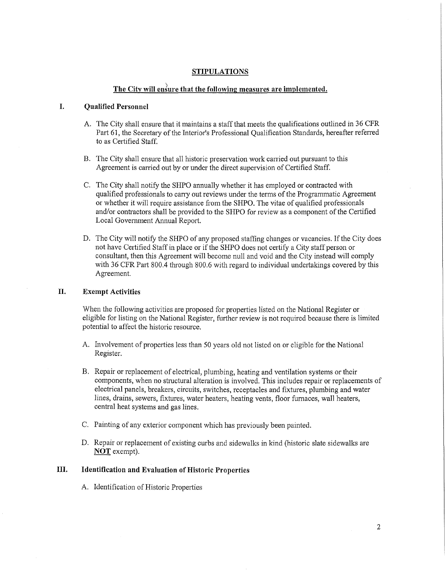### **STIPULATIONS**

## The City will ensure that the following measures are implemented.

### **I. Qualified Personnel**

- A. The City shall ensure that it maintains a staff that meets the qualifications outlined in 36 CFR Part 61, the Secretary of the Interior's Professional Qualification Standards, hereafter referred to as Certified Staff.
- B. The City shall ensure that all historic preservation work carried out pursuant to this Agreement is carried out by or under the direct supervision of Certified Staff.
- C. The City shall notify the SHPO annually whether it has employed or contracted with qualified professionals to cany out reviews under the terms of the Programmatic Agreement or whether it will require assistance from the SHPO. The vitae of qualified professionals and/or contractors shall be provided to the SHPO for review as a component of the Certified Local Government Annual Report.
- D. The City will notify the SHPO of any proposed staffing changes or vacancies. If the City does not have Certified Staff in place or if the SHPO does not certify a City staff person or consultant, then this Agreement will become null and void and the City instead will comply with 36 CFR Part 800.4 through 800.6 with regard to individual undertakings covered by this Agreement.

#### **II. Exempt Activities**

When the following activities are proposed for properties listed on the National Register or eligible for listing on the National Register, further review is not required because there is limited potential to affect the historic resource.

- A. Involvement of properties less than 50 years old not listed on or eligible for the National Register.
- B. Repair or replacement of electrical, plumbing, heating and ventilation systems or their components, when no structural alteration is involved. This includes repair or replacements of electrical panels, breakers, circuits, switches, receptacles and fixtures, plumbing and water lines, drains, sewers, fixtures, water heaters, heating vents, floor furnaces, wall heaters, central heat systems and gas lines.
- C. Painting of any exterior component which has previously been painted.
- D. Repair or replacement of existing curbs and sidewalks in kind (historic slate sidewalks are **NOT** exempt).

## **III. Identification and Evaluation of Historic Properties**

A. Identification of Historic Properties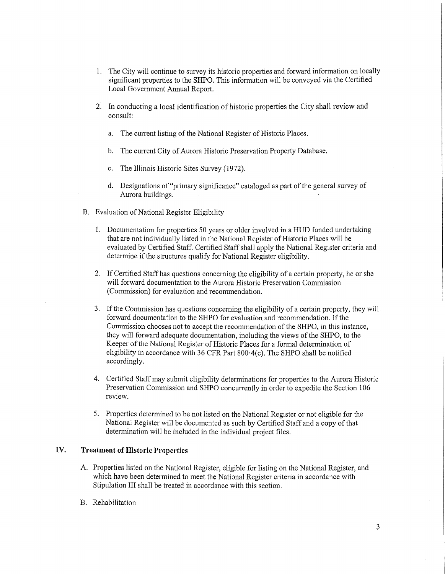- 1. The City will continue to survey its historic properties and forward information on locally significant properties to the SHPO. This information will be conveyed via the Certified Local Government Annual Report.
- 2. In conducting a local identification of historic properties the City shall review and consult:
	- a. The current listing of the National Register of Historic Places.
	- b. The current City of Aurora Historic Preservation Property Database.
	- c. The Illinois Historic Sites Survey (1972).
	- d. Designations of "primary significance" cataloged as part of the general survey of Aurora buildings.
- B. Evaluation of National Register Eligibility
	- 1. Documentation for properties 50 years or older involved in a HUD funded undertaking that are not individually listed in the National Register of Historic Places will be evaluated by Certified Staff. Certified Staff shall apply the National Register criteria and determine if the structures qualify for National Register eligibility.
	- 2. If Certified Staff has questions concerning the eligibility of a certain property, he or she will forward documentation to the Aurora Historic Preservation Commission (Commission) for evaluation and recommendation.
	- 3. If the Commission has questions concerning the eligibility of a certain property, they will forward documentation to the SHPO for evaluation and recommendation. If the Commission chooses not to accept the recommendation of the SHPO, in this instance, they will forward adequate documentation, including the views of the SHPO, to the Keeper of the National Register of Historic Places for a formal determination of eligibility in accordance with 36 CFR Part 800·4(c). The SHPO shall be notified accordingly.
	- 4. Certified Staff may submit eligibility determinations for properties to the Aurora Historic Preservation Commission and SHPO concurrently in order to expedite the Section 106 review.
	- 5. Properties determined to be not listed on the National Register or not eligible for the National Register will be documented as such by Certified Staff and a copy of that determination will be included in the individual project files.

#### **IV. Treatment of Historic Properties**

- A. Properties listed on the National Register, eligible for listing on the National Register, and which have been determined to meet the National Register criteria in accordance with Stipulation III shall be treated in accordance with this section,
- B. Rehabilitation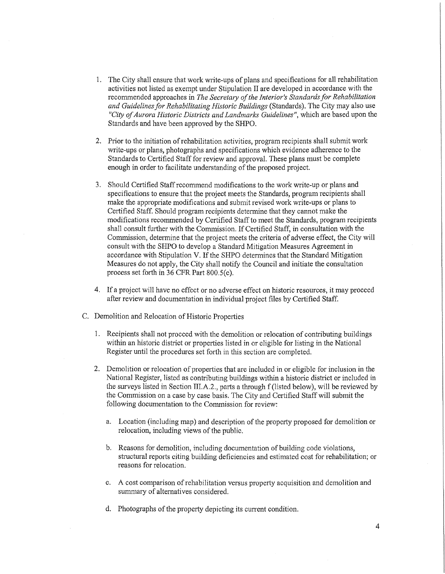- 1. The City shall ensure that work write-ups of plans and specifications for all rehabilitation activities not listed as exempt under Stipulation II are developed in accordance with the recommended approaches in *The Secretary of the Interior's Standards for Rehabilitation and Guidelines for Rehabilitating Historic Buildings* (Standards). The City may also use *"City of Aurora Historic Districts and Landmarks Guidelines",* which are based upon the Standards and have been approved by the SHPO.
- 2. Prior to the initiation of rehabilitation activities, program recipients shall submit work write-ups or plans, photographs and specifications which evidence adherence to the Standards to Certified Staff for review and approval. These plans must be complete enough in order to facilitate understanding of the proposed project.
- 3. Should Certified Staff recommend modifications to the work write-up or plans and specifications to ensure that the project meets the Standards, program recipients shall make the appropriate modifications and submit revised work write-ups or plans to Certified Staff. Should program recipients detennine that they cannot make the modifications recommended by Certified Staff to meet the Standards, program recipients shall consult further with the Commission. If Certified Staff, in consultation with the Commission, determine that the project meets the criteria of adverse effect, the City will consult with the SHPO to develop a Standard Mitigation Measures Agreement in accordance with Stipulation V. If the SHPO determines that the Standard Mitigation Measures do not apply, the City shall notify the Council and initiate the consultation process set forth in 36 CFR Part 800.S(e).
- 4. If a project will have no effect or no adverse effect on historic resources, it may proceed after review and documentation in individual project files by Certified Staff.
- C. Demolition and Relocation of Historic Properties
	- 1. Recipients shall not proceed with the demolition or relocation of contributing buildings within an historic district or properties listed in or eligible for listing in the National Register until the procedures set forth in this section are completed.
	- 2. Demolition or relocation of properties that are included in or eligible for inclusion in the National Register, listed as contributing buildings within a historic district or included in the surveys listed in Section III.A.2., parts a through f (listed below), will be reviewed by the Commission on a case by case basis. The City and Certified Staff will submit the following documentation to the Commission for review:
		- a. Location (including map) and description of the property proposed for demolition or relocation, including views of the public.
		- b. Reasons for demolition, including documentation of building code violations, structural reports citing building deficiencies and estimated cost for rehabilitation; or reasons for relocation.
		- c. A cost comparison of rehabilitation versus property acquisition and demolition and summary of alternatives considered.
		- d. Photographs of the property depicting its current condition.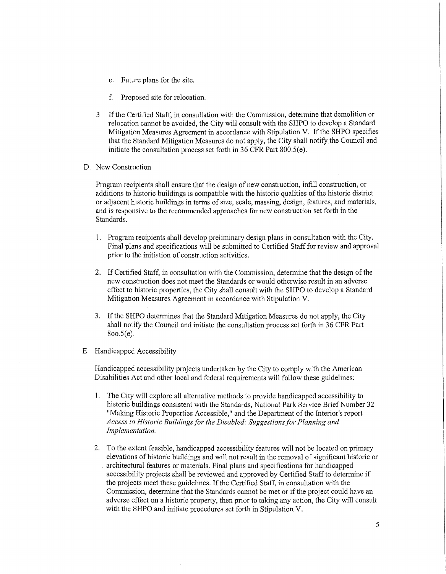- e. Future plans for the site.
- f. Proposed site for relocation.
- 3. If the Certified Staff, in consultation with the Commission, detennine that demolition or relocation cannot be avoided, the City will consult with the SHPO to develop a Standard Mitigation Measures Agreement in accordance with Stipulation V. If the SHPO specifies that the Standard Mitigation Measures do not apply, the City shall notify the Council and initiate the consultation process set forth in 36 CFR Part 800.S(e).
- D. New Construction

Program recipients shall ensure that the design of new construction, infill construction, or additions to historic buildings is compatible with the historic qualities of the historic district or adjacent historic buildings in tenns of size, scale, massing, design, features, and materials, and is responsive to the recommended approaches for new construction set forth in the Standards.

- 1. Program recipients shall develop preliminary design plans in consultation with the City. Final plans and specifications wiII be submitted to Certified Staff for review and approval prior to the initiation of construction activities.
- 2. If Certified Staff, in consultation with the Commission, determine that the design of the new construction does not meet the Standards or would otherwise result in an adverse effect to historic properties, the City shall consult with the SHPO to develop a Standard Mitigation Measures Agreement in accordance with Stipulation V.
- 3. If the SHPO determines that the Standard Mitigation Measures do not apply, the City shall notify the Council and initiate the consultation process set forth in 36 CPR Part 8oo.5(e).
- E. Handicapped Accessibility

Handicapped accessibility projects undertaken by the City to comply with the American Disabilities Act and other local and federal requirements will follow these guidelines:

- 1. The City will explore alI alternative methods to provide handicapped accessibility to historic buildings consistent with the Standards, National Park Service Brief Number 32 "Making Historic Properties Accessible," and the Department of the Interior's report *Access to Historic Buildings for the Disabled: Suggestions for Planning and Implementation.*
- 2. To the extent feasible, handicapped accessibility features will not be located on primary elevations of historic buildings and will not result in the removal of significant historic or architectural features or materials. Final plans and specifications for handicapped accessibility projects shall be reviewed and approved by Certified Staff to determine if the projects meet these guidelines. If the Certified Staff, in consultation with the Commission, determine that the Standards cannot be met or if the project could have an adverse effect on a historic property, then prior to taking any action, the City will consult with the SHPO and initiate procedures set forth in Stipulation V.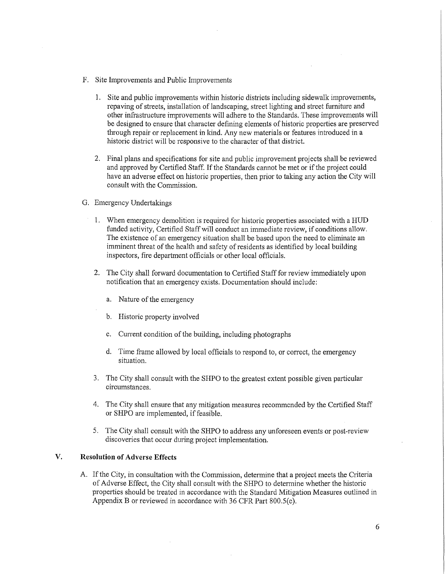- F. Site Improvements and Public Improvements
	- 1. Site and public improvements within historic districts including sidewalk improvements, repaving of streets, installation of landscaping, street lighting and street furniture and other infrastructure improvements will adhere to the Standards. These improvements will be designed to ensure that character defining elements of historic properties are preserved through repair or replacement in kind. Any new materials or features introduced in a historic district will be responsive to the character of that district.
	- 2. Final plans and specifications for site and public improvement projects shall be reviewed and approved by Certified Staff. If the Standards cannot be met or if the project could have an adverse effect on historic properties, then prior to taking any action the City will consult with the Commission.
- G. Emergency Undertakings
	- 1. When emergency demolition is required for historic properties associated with a HUD funded activity, Certified Staff will conduct an immediate review, if conditions allow. The existence of an emergency situation shall be based upon the need to eliminate an imminent threat of the health and safety of residents as identified by local building inspectors, fire department officials or other local officials.
	- 2. The City shall forward documentation to Certified Staff for review immediately upon notification that an emergency exists. Documentation should include:
		- a. Nature of the emergency
		- b. Historic property involved
		- c. Current condition of the building, including photographs
		- d. Time frame allowed by local officials to respond to, or correct, the emergency situation.
	- 3. The City shall consult with the SHPO to the greatest extent possible given particular circumstances.
	- 4. The City shall ensure that any mitigation measures recommended by the Certified Staff or SHPO are implemented, if feasible.
	- 5. The City shall consult with the SHPO to address any unforeseen events or post-review discoveries that occur during project implementation.

## **V. Resolution of Adverse Effects**

A. If the City, in consultation with the Commission, determine that a project meets the Criteria of Adverse Effect, the City shall consult with the SHPO to determine whether the historic properties should be treated in accordance with the Standard Mitigation Measures outlined in Appendix B or reviewed in accordance with 36 CFR Part 800.S(e).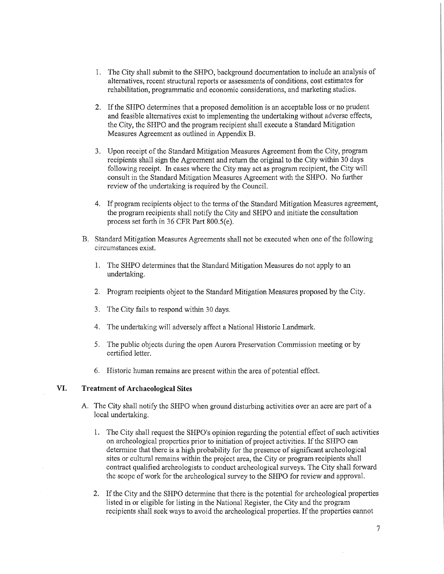- 1. The City shall submit to the SHPO, background documentation to include an analysis of alternatives, recent structural reports or assessments of conditions, cost estimates for rehabilitation, programmatic and economic considerations, and marketing studies.
- 2. If the SHPO determines that a proposed demolition is an acceptable loss or no prudent and feasible alternatives exist to implementing the undertaking without adverse effects, the City, the SHPO and the program recipient shall execute a Standard Mitigation Measures Agreement as outlined in Appendix B.
- 3. Upon receipt of the Standard Mitigation Measures Agreement from the City, program recipients shall sign the Agreement and return the original to the City within 30 days following receipt. In cases where the City may act as program recipient, the City will consult in the Standard Mitigation Measures Agreement with the SHPO. No further review of the undertaking is required by the Council.
- 4. If program recipients object to the terms of the Standard Mitigation Measures agreement, the program recipients shall notify the City and SHPO and initiate the consultation process set forth in 36 CFR Part 800.S(e).
- B. Standard Mitigation Measures Agreements shall not be executed when one of the following circumstances exist.
	- 1. The SHPO determines that the Standard Mitigation Measures do not apply to an undertaking.
	- 2. Program recipients object to the Standard Mitigation Measures proposed by the City.
	- 3. The City fails to respond within 30 days.
	- 4. The undertaking will adversely affect a National Historic Landmark.
	- 5. The public objects during the open Aurora Preservation Commission meeting or by certified letter.
	- 6. Historic human remains are present within the area of potential effect.

#### **VI. Treatment of Archaeological Sites**

- A. The City shall notify the SHPO when ground disturbing activities over an acre are part of a local undertaking.
	- 1. The City shall request the SHPO's opinion regarding the potential effect of such activities on archeological properties prior to initiation of project activities. If the SHPO can determine that there is a high probability for the presence of significant archeological sites or cultural remains within the project area, the City or program recipients shall contract qualified archeologists to conduct archeological surveys. The City shall forward the scope of work for the archeological survey to the SHPO for review and approval.
	- 2. If the City and the SHPO determine that there is the potential for archeological properties listed in or eligible for listing in the National Register, the City and the program recipients shall seek ways to avoid the archeological properties. If the properties cannot

7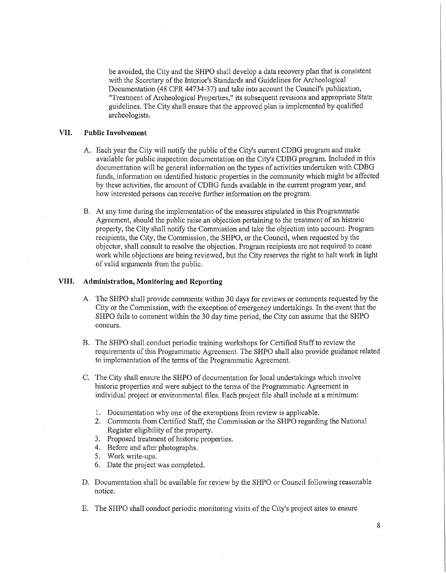be avoided, the City and the SHPO shall develop a data recovery plan that is consistent with the Secretary of the Interior's Standards and Guidelines for Archeological Documentation (48 CFR 44734-37) and take into account the Council's publication, "Treatment of Archeological Properties," its subsequent revisions and appropriate State guidelines. The City shall ensure that the approved plan is implemented by qualified archeologists.

### **VII. Public Involvement**

- A. Each year the City will notify the public of the City's cunent CDBG program and make available for public inspection documentation on the City's CDBG program. Included in this documentation will be general infonnation on the types of activities undertaken with CDBG funds, information on identified historic properties in the community which might be affected by these activities, the amount of CDBG funds available in the current program year, and how interested persons can receive further information on the program.
- B. At any time during the implementation of the measures stipulated in this Programmatic Agreement, should the public raise an objection pertaining to the treatment of an historic property, the City shall notify the Commission and take the objection into account. Program recipients, the City, the Commission, the SHPO, or the Council, when requested by the objector, shall consult to resolve the objection. Program recipients are not required to cease work while objections are being reviewed, but the City reserves the right to halt work in light of valid arguments from the public.

#### **VIII. Administration, Monitoring and Reporting**

- A. The SHPO shall provide comments within 30 days for reviews or comments requested by the City or the Commission, with the exception of emergency undertakings. In the event that the SHPO fails to comment within the 30 day time period, the City can assume that the SHPO concurs.
- B. The SHPO shall conduct periodic training workshops for Certified Staff to review the requirements of this Programmatic Agreement. The SHPO shall also provide guidance related to implementation of the tenns of the Programmatic Agreement.
- C. The City shall ensure the SHPO of documentation for local undertakings which involve historic properties and were subject to the terms of the Programmatic Agreement in individual project or environmental files. Each project file shall include at a minimum:
	- 1. Documentation why one of the exemptions from review is applicable.
	- 2. Comments from Certified Staff, the Commission or the SHPO regarding the National Register eligibility of the property.
	- 3. Proposed treatment of historic properties.
	- 4. Before and after photographs.
	- 5. Work write-ups.
	- 6. Date the project was completed.
- D. Documentation shall be available for review by the SHPO or Council following reasonable notice.
- E. The SHPO shall conduct periodic monitoring visits of the City's project sites to ensure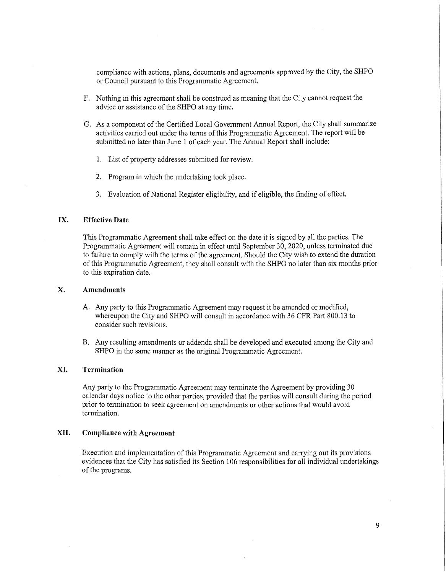compliance with actions, plans, documents and agreements approved by the City, the SHPO or Council pursuant to this Programmatic Agreement.

- F. Nothing in this agreement shall be construed as meaning that the City cannot request the advice or assistance of the SHPO at any time.
- G. As a component of the Certified Local Government Annual Report, the City shall summarize activities carried out under the terms of this Programmatic Agreement. The report will be submitted no later than June 1 of each year. The Annual Report shall include:
	- 1. List of property addresses submitted for review.
	- 2. Program in which the undertaking took place.
	- 3. Evaluation of National Register eligibility, and if eligible, the finding of effect.

### **IX. Effective Date**

This Programmatic Agreement shall take effect on the date it is signed by all the parties. The Programmatic Agreement will remain in effect until September 30, 2020, unless terminated due to failure to comply with the terms of the agreement. Should the City wish to extend the duration of this Programmatic Agreement, they shall consult with the SHPO no later than six months prior to this expiration date.

#### **X. Amendments**

- A. Any party to this Programmatic Agreement may request it be amended or modified, whereupon the City and SHPO will consult in accordance with 36 CFR Part 800.13 to consider such revisions.
- B. Any resulting amendments or addenda shall be developed and executed among the City and SHPO in the same manner as the original Programmatic Agreement.

### **XI. Termination**

Any party to the Programmatic Agreement may terminate the Agreement by providing 30 calendar days notice to the other parties, provided that the parties will consult during the period prior to termination to seek agreement on amendments or other actions that would avoid termination.

#### **XII. Compliance with Agreement**

Execution and implementation of this Programmatic Agreement and carrying out its provisions evidences that the City has satisfied its Section 106 responsibilities for all individual undertakings of the programs.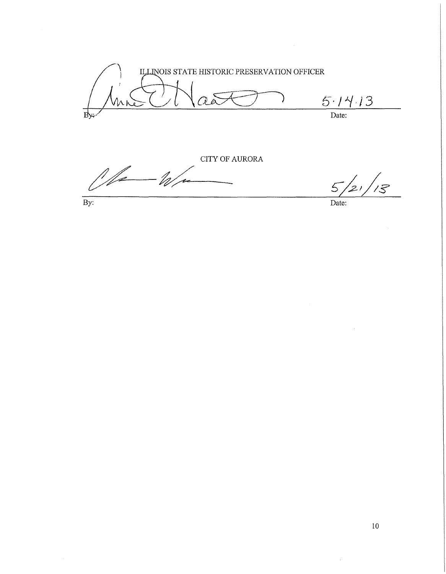ILLINOIS STATE HISTORIC PRESERVATION OFFICER *5·/J././3*  VMN Date:

 $\frac{CITY \text{ OF AURORA}}{5}$ CITY OF AURORA  $\frac{1}{2}$ By:

 $\overline{\mathcal{S}}$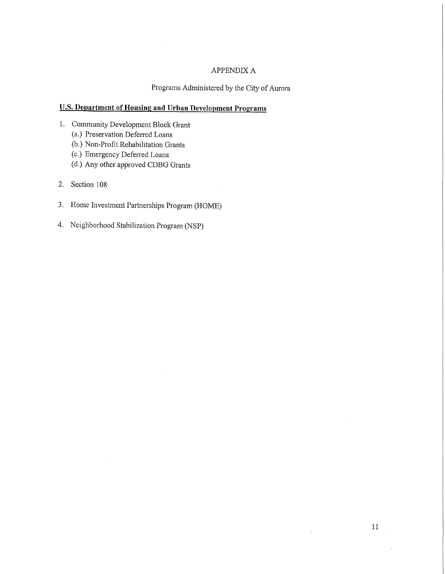## APPENDIX A

## Programs Administered by the City of Aurora

# **U.S. Department of Housing and Urban Development Programs**

- 1. Community Development Block Grant
	- (a.) Preservation Defened Loans
	- (b.) Non-Profit Rehabilitation Grants
	- (c.) Emergency Defened Loans
	- (d.) Any other approved CDBG Grants
- 2. Section 108
- 3. Home Investment Partnerships Program (HOME)
- 4. Neighborhood Stabilization Program (NSP)

 $\bar{\lambda}$